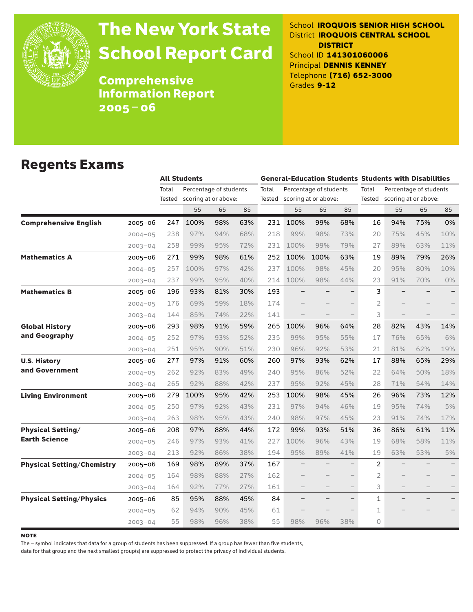

# The New York State School Report Card

School **IROQUOIS SENIOR HIGH SCHOOL** District **IROQUOIS CENTRAL SCHOOL DISTRICT** School ID **141301060006** Principal **DENNIS KENNEY** Telephone **(716) 652-3000** Grades **9-12**

**Comprehensive** Information Report 2005–06

### Regents Exams

|                                   |             |                 | <b>All Students</b>                            |     |     |       | <b>General-Education Students Students with Disabilities</b> |                                                       |                          |                 |                                                |     |       |  |
|-----------------------------------|-------------|-----------------|------------------------------------------------|-----|-----|-------|--------------------------------------------------------------|-------------------------------------------------------|--------------------------|-----------------|------------------------------------------------|-----|-------|--|
|                                   |             | Total<br>Tested | Percentage of students<br>scoring at or above: |     |     | Total |                                                              | Percentage of students<br>Tested scoring at or above: |                          | Total<br>Tested | Percentage of students<br>scoring at or above: |     |       |  |
|                                   |             |                 | 55                                             | 65  | 85  |       | 55                                                           | 65                                                    | 85                       |                 | 55                                             | 65  | 85    |  |
| <b>Comprehensive English</b>      | 2005-06     | 247             | 100%                                           | 98% | 63% | 231   | 100%                                                         | 99%                                                   | 68%                      | 16              | 94%                                            | 75% | 0%    |  |
|                                   | $2004 - 05$ | 238             | 97%                                            | 94% | 68% | 218   | 99%                                                          | 98%                                                   | 73%                      | 20              | 75%                                            | 45% | 10%   |  |
|                                   | $2003 - 04$ | 258             | 99%                                            | 95% | 72% | 231   | 100%                                                         | 99%                                                   | 79%                      | 27              | 89%                                            | 63% | 11%   |  |
| <b>Mathematics A</b>              | $2005 - 06$ | 271             | 99%                                            | 98% | 61% | 252   | 100%                                                         | 100%                                                  | 63%                      | 19              | 89%                                            | 79% | 26%   |  |
|                                   | $2004 - 05$ | 257             | 100%                                           | 97% | 42% | 237   | 100%                                                         | 98%                                                   | 45%                      | 20              | 95%                                            | 80% | 10%   |  |
|                                   | $2003 - 04$ | 237             | 99%                                            | 95% | 40% | 214   | 100%                                                         | 98%                                                   | 44%                      | 23              | 91%                                            | 70% | $0\%$ |  |
| <b>Mathematics B</b>              | $2005 - 06$ | 196             | 93%                                            | 81% | 30% | 193   |                                                              |                                                       |                          | 3               |                                                |     |       |  |
|                                   | $2004 - 05$ | 176             | 69%                                            | 59% | 18% | 174   |                                                              |                                                       |                          | 2               |                                                |     |       |  |
|                                   | $2003 - 04$ | 144             | 85%                                            | 74% | 22% | 141   |                                                              |                                                       |                          | 3               |                                                |     |       |  |
| <b>Global History</b>             | 2005-06     | 293             | 98%                                            | 91% | 59% | 265   | 100%                                                         | 96%                                                   | 64%                      | 28              | 82%                                            | 43% | 14%   |  |
| and Geography                     | $2004 - 05$ | 252             | 97%                                            | 93% | 52% | 235   | 99%                                                          | 95%                                                   | 55%                      | 17              | 76%                                            | 65% | 6%    |  |
|                                   | $2003 - 04$ | 251             | 95%                                            | 90% | 51% | 230   | 96%                                                          | 92%                                                   | 53%                      | 21              | 81%                                            | 62% | 19%   |  |
| <b>U.S. History</b>               | 2005-06     | 277             | 97%                                            | 91% | 60% | 260   | 97%                                                          | 93%                                                   | 62%                      | 17              | 88%                                            | 65% | 29%   |  |
| and Government                    | $2004 - 05$ | 262             | 92%                                            | 83% | 49% | 240   | 95%                                                          | 86%                                                   | 52%                      | 22              | 64%                                            | 50% | 18%   |  |
|                                   | $2003 - 04$ | 265             | 92%                                            | 88% | 42% | 237   | 95%                                                          | 92%                                                   | 45%                      | 28              | 71%                                            | 54% | 14%   |  |
| <b>Living Environment</b>         | 2005-06     | 279             | 100%                                           | 95% | 42% | 253   | 100%                                                         | 98%                                                   | 45%                      | 26              | 96%                                            | 73% | 12%   |  |
|                                   | $2004 - 05$ | 250             | 97%                                            | 92% | 43% | 231   | 97%                                                          | 94%                                                   | 46%                      | 19              | 95%                                            | 74% | 5%    |  |
|                                   | $2003 - 04$ | 263             | 98%                                            | 95% | 43% | 240   | 98%                                                          | 97%                                                   | 45%                      | 23              | 91%                                            | 74% | 17%   |  |
| <b>Physical Setting/</b>          | $2005 - 06$ | 208             | 97%                                            | 88% | 44% | 172   | 99%                                                          | 93%                                                   | 51%                      | 36              | 86%                                            | 61% | 11%   |  |
| <b>Earth Science</b>              | $2004 - 05$ | 246             | 97%                                            | 93% | 41% | 227   | 100%                                                         | 96%                                                   | 43%                      | 19              | 68%                                            | 58% | 11%   |  |
|                                   | $2003 - 04$ | 213             | 92%                                            | 86% | 38% | 194   | 95%                                                          | 89%                                                   | 41%                      | 19              | 63%                                            | 53% | 5%    |  |
| <b>Physical Setting/Chemistry</b> | $2005 - 06$ | 169             | 98%                                            | 89% | 37% | 167   |                                                              |                                                       |                          | $\overline{2}$  |                                                |     |       |  |
|                                   | $2004 - 05$ | 164             | 98%                                            | 88% | 27% | 162   |                                                              |                                                       |                          | $\overline{2}$  |                                                |     |       |  |
|                                   | $2003 - 04$ | 164             | 92%                                            | 77% | 27% | 161   |                                                              |                                                       |                          | 3               |                                                |     |       |  |
| <b>Physical Setting/Physics</b>   | 2005-06     | 85              | 95%                                            | 88% | 45% | 84    | $\equiv$                                                     |                                                       | $\overline{\phantom{0}}$ | $\mathbf{1}$    | $\equiv$                                       |     |       |  |
|                                   | $2004 - 05$ | 62              | 94%                                            | 90% | 45% | 61    |                                                              |                                                       |                          | $\mathbf 1$     |                                                |     |       |  |
|                                   | $2003 - 04$ | 55              | 98%                                            | 96% | 38% | 55    | 98%                                                          | 96%                                                   | 38%                      | $\bigcap$       |                                                |     |       |  |

**NOTE** 

The – symbol indicates that data for a group of students has been suppressed. If a group has fewer than five students,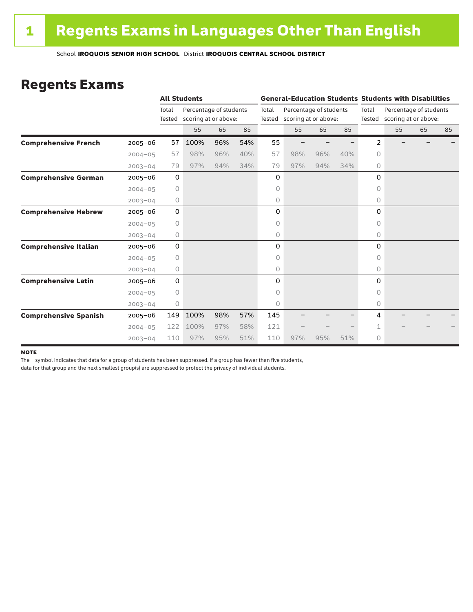### Regents Exams

|                              |             |                 | <b>All Students</b>                            |     |     |                 | <b>General-Education Students Students with Disabilities</b> |     |     |         |                                                       |    |    |  |
|------------------------------|-------------|-----------------|------------------------------------------------|-----|-----|-----------------|--------------------------------------------------------------|-----|-----|---------|-------------------------------------------------------|----|----|--|
|                              |             | Total<br>Tested | Percentage of students<br>scoring at or above: |     |     | Total<br>Tested | Percentage of students<br>scoring at or above:               |     |     | Total   | Percentage of students<br>Tested scoring at or above: |    |    |  |
|                              |             |                 | 55                                             | 65  | 85  |                 | 55                                                           | 65  | 85  |         | 55                                                    | 65 | 85 |  |
| <b>Comprehensive French</b>  | $2005 - 06$ | 57              | 100%                                           | 96% | 54% | 55              |                                                              |     |     | 2       |                                                       |    |    |  |
|                              | $2004 - 05$ | 57              | 98%                                            | 96% | 40% | 57              | 98%                                                          | 96% | 40% | 0       |                                                       |    |    |  |
|                              | $2003 - 04$ | 79              | 97%                                            | 94% | 34% | 79              | 97%                                                          | 94% | 34% | $\circ$ |                                                       |    |    |  |
| <b>Comprehensive German</b>  | $2005 - 06$ | 0               |                                                |     |     | 0               |                                                              |     |     | 0       |                                                       |    |    |  |
|                              | $2004 - 05$ | 0               |                                                |     |     | 0               |                                                              |     |     | 0       |                                                       |    |    |  |
|                              | $2003 - 04$ | 0               |                                                |     |     | 0               |                                                              |     |     | 0       |                                                       |    |    |  |
| <b>Comprehensive Hebrew</b>  | $2005 - 06$ | 0               |                                                |     |     | 0               |                                                              |     |     | 0       |                                                       |    |    |  |
|                              | $2004 - 05$ | $\circ$         |                                                |     |     | 0               |                                                              |     |     | 0       |                                                       |    |    |  |
|                              | $2003 - 04$ | 0               |                                                |     |     | 0               |                                                              |     |     | $\circ$ |                                                       |    |    |  |
| <b>Comprehensive Italian</b> | $2005 - 06$ | 0               |                                                |     |     | 0               |                                                              |     |     | 0       |                                                       |    |    |  |
|                              | $2004 - 05$ | 0               |                                                |     |     | 0               |                                                              |     |     | 0       |                                                       |    |    |  |
|                              | $2003 - 04$ | 0               |                                                |     |     | 0               |                                                              |     |     | 0       |                                                       |    |    |  |
| <b>Comprehensive Latin</b>   | $2005 - 06$ | 0               |                                                |     |     | 0               |                                                              |     |     | 0       |                                                       |    |    |  |
|                              | $2004 - 05$ | $\circ$         |                                                |     |     | 0               |                                                              |     |     | 0       |                                                       |    |    |  |
|                              | $2003 - 04$ | $\circ$         |                                                |     |     | 0               |                                                              |     |     | 0       |                                                       |    |    |  |
| <b>Comprehensive Spanish</b> | $2005 - 06$ | 149             | 100%                                           | 98% | 57% | 145             |                                                              |     |     | 4       |                                                       |    |    |  |
|                              | $2004 - 05$ | 122             | 100%                                           | 97% | 58% | 121             |                                                              |     |     |         |                                                       |    |    |  |
|                              | $2003 - 04$ | 110             | 97%                                            | 95% | 51% | 110             | 97%                                                          | 95% | 51% | $\circ$ |                                                       |    |    |  |

#### **NOTE**

The – symbol indicates that data for a group of students has been suppressed. If a group has fewer than five students,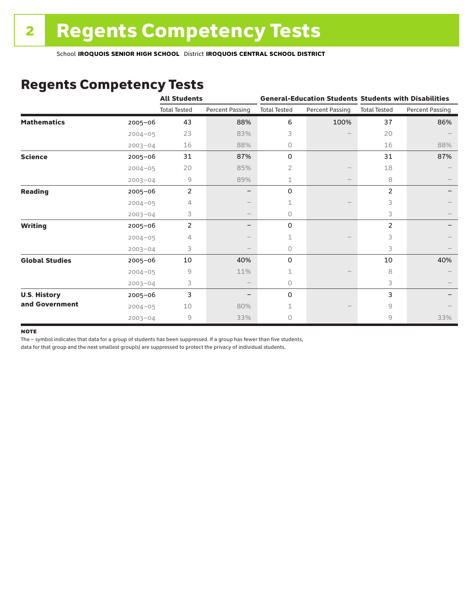# Regents Competency Tests

|                       |             | <b>All Students</b> |                        |                     |                        | <b>General-Education Students Students with Disabilities</b> |                        |  |
|-----------------------|-------------|---------------------|------------------------|---------------------|------------------------|--------------------------------------------------------------|------------------------|--|
|                       |             | <b>Total Tested</b> | <b>Percent Passing</b> | <b>Total Tested</b> | <b>Percent Passing</b> | <b>Total Tested</b>                                          | <b>Percent Passing</b> |  |
| <b>Mathematics</b>    | 2005-06     | 43                  | 88%                    | 6                   | 100%                   | 37                                                           | 86%                    |  |
|                       | $2004 - 05$ | 23                  | 83%                    | 3                   |                        | 20                                                           |                        |  |
|                       | $2003 - 04$ | 16                  | 88%                    | 0                   |                        | 16                                                           | 88%                    |  |
| <b>Science</b>        | 2005-06     | 31                  | 87%                    | 0                   |                        | 31                                                           | 87%                    |  |
|                       | $2004 - 05$ | 20                  | 85%                    | 2                   |                        | 18                                                           |                        |  |
|                       | $2003 - 04$ | 9                   | 89%                    | 1                   |                        | 8                                                            |                        |  |
| <b>Reading</b>        | $2005 - 06$ | $\overline{2}$      |                        | 0                   |                        | 2                                                            |                        |  |
|                       | $2004 - 05$ | 4                   |                        |                     |                        | 3                                                            |                        |  |
|                       | $2003 - 04$ | 3                   |                        | 0                   |                        | 3                                                            |                        |  |
| <b>Writing</b>        | 2005-06     | $\overline{2}$      |                        | 0                   |                        | 2                                                            |                        |  |
|                       | $2004 - 05$ | 4                   |                        |                     |                        | 3                                                            |                        |  |
|                       | $2003 - 04$ | 3                   |                        | 0                   |                        | 3                                                            |                        |  |
| <b>Global Studies</b> | 2005-06     | 10                  | 40%                    | 0                   |                        | 10                                                           | 40%                    |  |
|                       | $2004 - 05$ | 9                   | 11%                    | 1                   |                        | 8                                                            |                        |  |
|                       | $2003 - 04$ | 3                   |                        | 0                   |                        | 3                                                            |                        |  |
| <b>U.S. History</b>   | 2005-06     | 3                   |                        | 0                   |                        | 3                                                            |                        |  |
| and Government        | $2004 - 05$ | 10                  | 80%                    |                     |                        | 9                                                            |                        |  |
|                       | $2003 - 04$ | 9                   | 33%                    | 0                   |                        | 9                                                            | 33%                    |  |

#### **NOTE**

The – symbol indicates that data for a group of students has been suppressed. If a group has fewer than five students,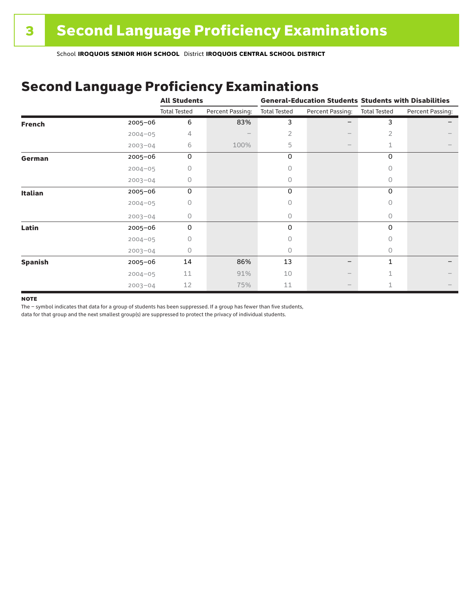# Second Language Proficiency Examinations

|                |             | <b>All Students</b> |                  |                     |                  | <b>General-Education Students Students with Disabilities</b> |                  |  |
|----------------|-------------|---------------------|------------------|---------------------|------------------|--------------------------------------------------------------|------------------|--|
|                |             | <b>Total Tested</b> | Percent Passing: | <b>Total Tested</b> | Percent Passing: | <b>Total Tested</b>                                          | Percent Passing: |  |
| <b>French</b>  | 2005-06     | 6                   | 83%              | 3                   |                  | 3                                                            |                  |  |
|                | $2004 - 05$ | 4                   |                  | 2                   |                  | 2                                                            |                  |  |
|                | $2003 - 04$ | 6                   | 100%             | 5                   |                  | 1                                                            |                  |  |
| German         | 2005-06     | 0                   |                  | 0                   |                  | 0                                                            |                  |  |
|                | $2004 - 05$ | 0                   |                  | Ω                   |                  | 0                                                            |                  |  |
|                | $2003 - 04$ | 0                   |                  | 0                   |                  | $\circ$                                                      |                  |  |
| <b>Italian</b> | 2005-06     | 0                   |                  | 0                   |                  | 0                                                            |                  |  |
|                | $2004 - 05$ |                     |                  | Ω                   |                  | 0                                                            |                  |  |
|                | $2003 - 04$ | 0                   |                  | 0                   |                  | 0                                                            |                  |  |
| Latin          | 2005-06     | $\Omega$            |                  | 0                   |                  | 0                                                            |                  |  |
|                | $2004 - 05$ |                     |                  |                     |                  | 0                                                            |                  |  |
|                | $2003 - 04$ | 0                   |                  | 0                   |                  | $\Omega$                                                     |                  |  |
| <b>Spanish</b> | 2005-06     | 14                  | 86%              | 13                  | -                | 1                                                            |                  |  |
|                | $2004 - 05$ | 11                  | 91%              | 10                  |                  |                                                              |                  |  |
|                | $2003 - 04$ | 12                  | 75%              | 11                  |                  |                                                              |                  |  |

#### **NOTE**

The – symbol indicates that data for a group of students has been suppressed. If a group has fewer than five students,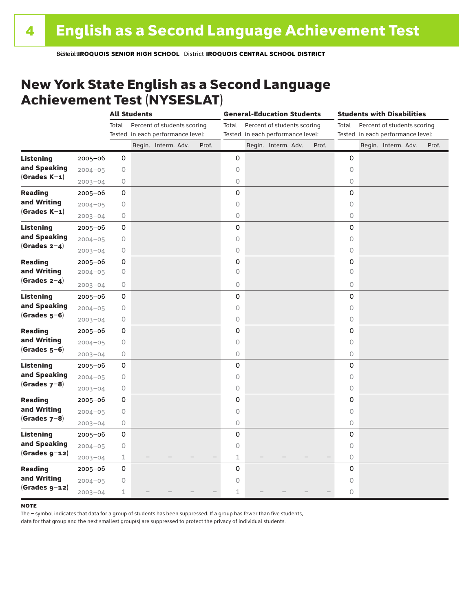## New York State English as a Second Language Achievement Test (NYSESLAT)

|                  |             | <b>All Students</b> |  |                                   | <b>General-Education Students</b> |             |  |                                   | <b>Students with Disabilities</b> |         |  |                                   |       |
|------------------|-------------|---------------------|--|-----------------------------------|-----------------------------------|-------------|--|-----------------------------------|-----------------------------------|---------|--|-----------------------------------|-------|
|                  |             | Total               |  | Percent of students scoring       |                                   | Total       |  | Percent of students scoring       |                                   | Total   |  | Percent of students scoring       |       |
|                  |             |                     |  | Tested in each performance level: |                                   |             |  | Tested in each performance level: |                                   |         |  | Tested in each performance level: |       |
|                  |             |                     |  | Begin. Interm. Adv.               | Prof.                             |             |  | Begin. Interm. Adv.               | Prof.                             |         |  | Begin. Interm. Adv.               | Prof. |
| <b>Listening</b> | 2005-06     | 0                   |  |                                   |                                   | 0           |  |                                   |                                   | 0       |  |                                   |       |
| and Speaking     | $2004 - 05$ | 0                   |  |                                   |                                   | 0           |  |                                   |                                   | $\circ$ |  |                                   |       |
| $(Grades K-1)$   | $2003 - 04$ | 0                   |  |                                   |                                   | $\circ$     |  |                                   |                                   | $\circ$ |  |                                   |       |
| <b>Reading</b>   | $2005 - 06$ | 0                   |  |                                   |                                   | 0           |  |                                   |                                   | 0       |  |                                   |       |
| and Writing      | $2004 - 05$ | 0                   |  |                                   |                                   | $\bigcirc$  |  |                                   |                                   | $\circ$ |  |                                   |       |
| $(Grades K-1)$   | $2003 - 04$ | 0                   |  |                                   |                                   | $\bigcirc$  |  |                                   |                                   | 0       |  |                                   |       |
| <b>Listening</b> | $2005 - 06$ | 0                   |  |                                   |                                   | 0           |  |                                   |                                   | 0       |  |                                   |       |
| and Speaking     | $2004 - 05$ | 0                   |  |                                   |                                   | $\circ$     |  |                                   |                                   | $\circ$ |  |                                   |       |
| (Grades $2-4$ )  | $2003 - 04$ | 0                   |  |                                   |                                   | $\circ$     |  |                                   |                                   | $\circ$ |  |                                   |       |
| <b>Reading</b>   | 2005-06     | 0                   |  |                                   |                                   | 0           |  |                                   |                                   | 0       |  |                                   |       |
| and Writing      | $2004 - 05$ | 0                   |  |                                   |                                   | $\circ$     |  |                                   |                                   | $\circ$ |  |                                   |       |
| (Grades $2-4$ )  | $2003 - 04$ | 0                   |  |                                   |                                   | $\circ$     |  |                                   |                                   | 0       |  |                                   |       |
| <b>Listening</b> | $2005 - 06$ | 0                   |  |                                   |                                   | 0           |  |                                   |                                   | 0       |  |                                   |       |
| and Speaking     | $2004 - 05$ | $\circ$             |  |                                   |                                   | $\circ$     |  |                                   |                                   | $\circ$ |  |                                   |       |
| $(Grades 5-6)$   | $2003 - 04$ | 0                   |  |                                   |                                   | $\bigcirc$  |  |                                   |                                   | 0       |  |                                   |       |
| <b>Reading</b>   | $2005 - 06$ | 0                   |  |                                   |                                   | 0           |  |                                   |                                   | 0       |  |                                   |       |
| and Writing      | $2004 - 05$ | 0                   |  |                                   |                                   | $\circ$     |  |                                   |                                   | $\circ$ |  |                                   |       |
| $(Grades 5-6)$   | $2003 - 04$ | 0                   |  |                                   |                                   | $\bigcirc$  |  |                                   |                                   | $\circ$ |  |                                   |       |
| Listening        | $2005 - 06$ | 0                   |  |                                   |                                   | 0           |  |                                   |                                   | 0       |  |                                   |       |
| and Speaking     | $2004 - 05$ | 0                   |  |                                   |                                   | $\circ$     |  |                                   |                                   | $\circ$ |  |                                   |       |
| (Grades $7-8$ )  | $2003 - 04$ | 0                   |  |                                   |                                   | $\circ$     |  |                                   |                                   | 0       |  |                                   |       |
| <b>Reading</b>   | $2005 - 06$ | 0                   |  |                                   |                                   | 0           |  |                                   |                                   | 0       |  |                                   |       |
| and Writing      | $2004 - 05$ | 0                   |  |                                   |                                   | $\circ$     |  |                                   |                                   | $\circ$ |  |                                   |       |
| $(Grades 7-8)$   | $2003 - 04$ | 0                   |  |                                   |                                   | $\circ$     |  |                                   |                                   | 0       |  |                                   |       |
| <b>Listening</b> | $2005 - 06$ | 0                   |  |                                   |                                   | 0           |  |                                   |                                   | 0       |  |                                   |       |
| and Speaking     | $2004 - 05$ | 0                   |  |                                   |                                   | $\circ$     |  |                                   |                                   | 0       |  |                                   |       |
| $(Grades g-12)$  | $2003 - 04$ | $\mathbf 1$         |  |                                   |                                   | $\mathbf 1$ |  |                                   |                                   | $\circ$ |  |                                   |       |
| <b>Reading</b>   | 2005-06     | 0                   |  |                                   |                                   | 0           |  |                                   |                                   | 0       |  |                                   |       |
| and Writing      | $2004 - 05$ | 0                   |  |                                   |                                   | $\circ$     |  |                                   |                                   | $\circ$ |  |                                   |       |
| $(Grades g-12)$  | $2003 - 04$ | $\mathbf 1$         |  |                                   |                                   | $\mathbf 1$ |  |                                   |                                   | 0       |  |                                   |       |

#### **NOTE**

The – symbol indicates that data for a group of students has been suppressed. If a group has fewer than five students,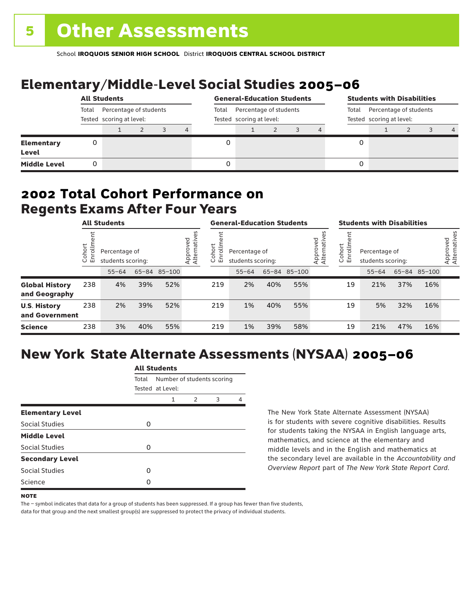# Elementary/Middle-Level Social Studies 2005–06

|                                   | <b>All Students</b> |                                                    |  |  |       | <b>General-Education Students</b>                  |  |  |  |                                                             | <b>Students with Disabilities</b> |  |  |  |                |
|-----------------------------------|---------------------|----------------------------------------------------|--|--|-------|----------------------------------------------------|--|--|--|-------------------------------------------------------------|-----------------------------------|--|--|--|----------------|
|                                   | Total               | Percentage of students<br>Tested scoring at level: |  |  | Total | Percentage of students<br>Tested scoring at level: |  |  |  | Percentage of students<br>Total<br>Tested scoring at level: |                                   |  |  |  |                |
|                                   |                     |                                                    |  |  | 4     |                                                    |  |  |  |                                                             |                                   |  |  |  | $\overline{4}$ |
| <b>Elementary</b><br><b>Level</b> |                     |                                                    |  |  |       |                                                    |  |  |  |                                                             |                                   |  |  |  |                |
| <b>Middle Level</b>               |                     |                                                    |  |  |       |                                                    |  |  |  |                                                             |                                   |  |  |  |                |

### Regents Exams After Four Years 2002 **Total Cohort Performance on**

|                                        | <b>All Students</b> |                                                    |     |     |                         | <b>General-Education Students</b> |                                    |     |              |                         | <b>Students with Disabilities</b> |                                    |     |              |                          |
|----------------------------------------|---------------------|----------------------------------------------------|-----|-----|-------------------------|-----------------------------------|------------------------------------|-----|--------------|-------------------------|-----------------------------------|------------------------------------|-----|--------------|--------------------------|
|                                        | ohort<br>o<br>ごこ    | Percentage of<br>students scoring:<br>65-84 85-100 |     |     | Approved<br>Alternative | Cohort<br>rolln<br>모              | Percentage of<br>students scoring: |     |              | Approved<br>Alternative | Cohort<br>5<br>문                  | Percentage of<br>students scoring: |     |              | Approved<br>Alternatives |
|                                        |                     | $55 - 64$                                          |     |     |                         |                                   | $55 - 64$                          |     | 65-84 85-100 |                         |                                   | $55 - 64$                          |     | 65-84 85-100 |                          |
| <b>Global History</b><br>and Geography | 238                 | 4%                                                 | 39% | 52% |                         | 219                               | 2%                                 | 40% | 55%          |                         | 19                                | 21%                                | 37% | 16%          |                          |
| <b>U.S. History</b><br>and Government  | 238                 | 2%                                                 | 39% | 52% |                         | 219                               | 1%                                 | 40% | 55%          |                         | 19                                | 5%                                 | 32% | 16%          |                          |
| <b>Science</b>                         | 238                 | 3%                                                 | 40% | 55% |                         | 219                               | 1%                                 | 39% | 58%          |                         | 19                                | 21%                                | 47% | 16%          |                          |

# New York State Alternate Assessments (NYSAA) 2005–06

|                         | <b>All Students</b> |                            |   |   |   |  |  |  |  |  |
|-------------------------|---------------------|----------------------------|---|---|---|--|--|--|--|--|
|                         | Total               | Number of students scoring |   |   |   |  |  |  |  |  |
|                         |                     | Tested at Level:           |   |   |   |  |  |  |  |  |
|                         |                     | 1                          | 2 | 3 | 4 |  |  |  |  |  |
| <b>Elementary Level</b> |                     |                            |   |   |   |  |  |  |  |  |
| Social Studies          | O                   |                            |   |   |   |  |  |  |  |  |
| <b>Middle Level</b>     |                     |                            |   |   |   |  |  |  |  |  |
| Social Studies          | O                   |                            |   |   |   |  |  |  |  |  |
| <b>Secondary Level</b>  |                     |                            |   |   |   |  |  |  |  |  |
| Social Studies          | ი                   |                            |   |   |   |  |  |  |  |  |
| Science                 | n                   |                            |   |   |   |  |  |  |  |  |
|                         |                     |                            |   |   |   |  |  |  |  |  |

The New York State Alternate Assessment (NYSAA) is for students with severe cognitive disabilities. Results for students taking the NYSAA in English language arts, mathematics, and science at the elementary and middle levels and in the English and mathematics at the secondary level are available in the *Accountability and Overview Report* part of *The New York State Report Card*.

The – symbol indicates that data for a group of students has been suppressed. If a group has fewer than five students,

**NOTE**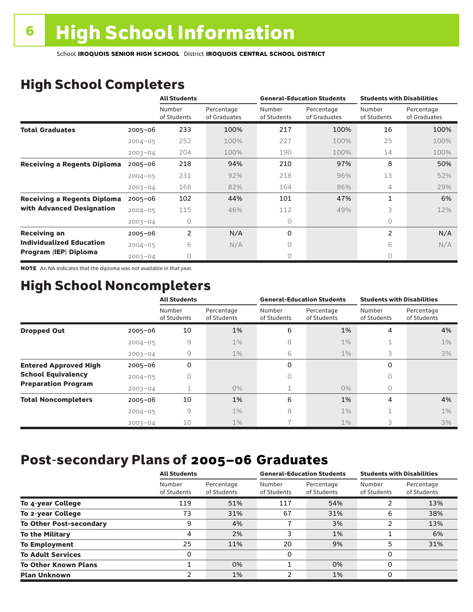# High School Completers

|                                    |             | <b>All Students</b>   |                            |                       | <b>General-Education Students</b> | <b>Students with Disabilities</b> |                            |  |
|------------------------------------|-------------|-----------------------|----------------------------|-----------------------|-----------------------------------|-----------------------------------|----------------------------|--|
|                                    |             | Number<br>of Students | Percentage<br>of Graduates | Number<br>of Students | Percentage<br>of Graduates        | Number<br>of Students             | Percentage<br>of Graduates |  |
| <b>Total Graduates</b>             | $2005 - 06$ | 233                   | 100%                       | 217                   | 100%                              | 16                                | 100%                       |  |
|                                    | $2004 - 05$ | 252                   | 100%                       | 227                   | 100%                              | 25                                | 100%                       |  |
|                                    | $2003 - 04$ | 204                   | 100%                       | 190                   | 100%                              | 14                                | 100%                       |  |
| <b>Receiving a Regents Diploma</b> | $2005 - 06$ | 218                   | 94%                        | 210                   | 97%                               | 8                                 | 50%                        |  |
|                                    | $2004 - 05$ | 231                   | 92%                        | 218                   | 96%                               | 13                                | 52%                        |  |
|                                    | $2003 - 04$ | 168                   | 82%                        | 164                   | 86%                               | 4                                 | 29%                        |  |
| <b>Receiving a Regents Diploma</b> | $2005 - 06$ | 102                   | 44%                        | 101                   | 47%                               | 1                                 | 6%                         |  |
| with Advanced Designation          | $2004 - 05$ | 115                   | 46%                        | 112                   | 49%                               | 3                                 | 12%                        |  |
|                                    | $2003 - 04$ | 0                     |                            | 0                     |                                   | $\bigcap$                         |                            |  |
| <b>Receiving an</b>                | $2005 - 06$ | 2                     | N/A                        | 0                     |                                   | 2                                 | N/A                        |  |
| <b>Individualized Education</b>    | $2004 - 05$ | 6                     | N/A                        | 0                     |                                   | 6                                 | N/A                        |  |
| Program (IEP) Diploma              | $2003 - 04$ | 0                     |                            | 0                     |                                   | 0                                 |                            |  |

NOTE An NA indicates that the diploma was not available in that year.

# High School Noncompleters

|                              |             | <b>All Students</b>   |                           |                       | <b>General-Education Students</b> | <b>Students with Disabilities</b> |                           |  |  |
|------------------------------|-------------|-----------------------|---------------------------|-----------------------|-----------------------------------|-----------------------------------|---------------------------|--|--|
|                              |             | Number<br>of Students | Percentage<br>of Students | Number<br>of Students | Percentage<br>of Students         | Number<br>of Students             | Percentage<br>of Students |  |  |
| <b>Dropped Out</b>           | $2005 - 06$ | 10                    | 1%                        | 6                     | 1%                                | 4                                 | 4%                        |  |  |
|                              | $2004 - 05$ | 9                     | $1\%$                     | 8                     | $1\%$                             | 1                                 | $1\%$                     |  |  |
|                              | $2003 - 04$ | $\overline{9}$        | $1\%$                     | 6                     | $1\%$                             | 3                                 | 3%                        |  |  |
| <b>Entered Approved High</b> | $2005 - 06$ | 0                     |                           | 0                     |                                   | 0                                 |                           |  |  |
| <b>School Equivalency</b>    | $2004 - 05$ | 0                     |                           | 0                     |                                   | 0                                 |                           |  |  |
| <b>Preparation Program</b>   | $2003 - 04$ |                       | $0\%$                     |                       | $0\%$                             | 0                                 |                           |  |  |
| <b>Total Noncompleters</b>   | $2005 - 06$ | 10                    | 1%                        | 6                     | 1%                                | 4                                 | 4%                        |  |  |
|                              | $2004 - 05$ | 9                     | $1\%$                     | 8                     | 1%                                | 1                                 | $1\%$                     |  |  |
|                              | $2003 - 04$ | 10                    | $1\%$                     |                       | $1\%$                             | 3                                 | 3%                        |  |  |

## Post-secondary Plans of 2005–06 **Graduates**

|                                | <b>All Students</b>   |                           |                       | <b>General-Education Students</b> | <b>Students with Disabilities</b> |                           |  |
|--------------------------------|-----------------------|---------------------------|-----------------------|-----------------------------------|-----------------------------------|---------------------------|--|
|                                | Number<br>of Students | Percentage<br>of Students | Number<br>of Students | Percentage<br>of Students         | Number<br>of Students             | Percentage<br>of Students |  |
| To 4-year College              | 119                   | 51%                       | 117                   | 54%                               | າ                                 | 13%                       |  |
| To 2-year College              | 73                    | 31%                       | 67                    | 31%                               | 6                                 | 38%                       |  |
| <b>To Other Post-secondary</b> | 9                     | 4%                        |                       | 3%                                | າ                                 | 13%                       |  |
| <b>To the Military</b>         | 4                     | 2%                        | 3                     | 1%                                |                                   | 6%                        |  |
| <b>To Employment</b>           | 25                    | 11%                       | 20                    | 9%                                | 5                                 | 31%                       |  |
| <b>To Adult Services</b>       | 0                     |                           | 0                     |                                   | 0                                 |                           |  |
| <b>To Other Known Plans</b>    |                       | 0%                        |                       | 0%                                | 0                                 |                           |  |
| <b>Plan Unknown</b>            |                       | 1%                        | າ                     | 1%                                | 0                                 |                           |  |